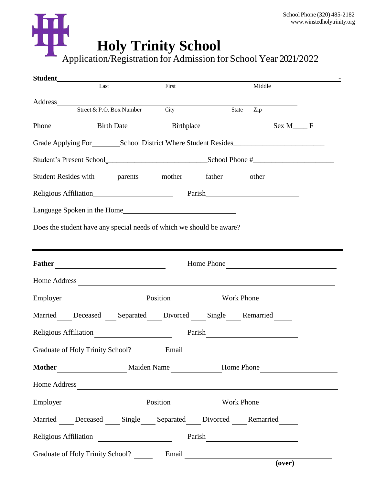## **Holy Trinity School** School Phone (320) 485-2182 [www.winstedholytrinity.org](http://www.winstedholytrinity.org/) Application/Registration for Admission for School Year 2021/2022

|                                                              | Last                                                                                                                                                                                                                          |  | First |        | Middle                       |  |  |
|--------------------------------------------------------------|-------------------------------------------------------------------------------------------------------------------------------------------------------------------------------------------------------------------------------|--|-------|--------|------------------------------|--|--|
|                                                              |                                                                                                                                                                                                                               |  |       |        |                              |  |  |
|                                                              | Address<br>Street & P.O. Box Number City                                                                                                                                                                                      |  |       |        | State<br>Zip                 |  |  |
|                                                              |                                                                                                                                                                                                                               |  |       |        |                              |  |  |
|                                                              |                                                                                                                                                                                                                               |  |       |        |                              |  |  |
| Student's Present School<br>School Phone #<br>School Phone # |                                                                                                                                                                                                                               |  |       |        |                              |  |  |
|                                                              | Student Resides with ______ parents ______ mother ________ father _______ other                                                                                                                                               |  |       |        |                              |  |  |
|                                                              | Religious Affiliation Electronic Parish Parish Parish Parish Parish Parish Parish Parish Parish Parish Parish Parish Parish Parish Parish Parish Parish Parish Parish Parish Parish Parish Parish Parish Parish Parish Parish |  |       |        |                              |  |  |
|                                                              |                                                                                                                                                                                                                               |  |       |        |                              |  |  |
|                                                              | Does the student have any special needs of which we should be aware?                                                                                                                                                          |  |       |        |                              |  |  |
|                                                              |                                                                                                                                                                                                                               |  |       |        |                              |  |  |
| Home Phone                                                   |                                                                                                                                                                                                                               |  |       |        |                              |  |  |
|                                                              | Home Address                                                                                                                                                                                                                  |  |       |        |                              |  |  |
|                                                              |                                                                                                                                                                                                                               |  |       |        | Employer Position Work Phone |  |  |
|                                                              | Married Deceased Separated Divorced Single Remarried                                                                                                                                                                          |  |       |        |                              |  |  |
|                                                              |                                                                                                                                                                                                                               |  |       | Parish |                              |  |  |
|                                                              | Graduate of Holy Trinity School? Email                                                                                                                                                                                        |  |       |        |                              |  |  |
|                                                              | Mother Maiden Name Home Phone                                                                                                                                                                                                 |  |       |        |                              |  |  |
|                                                              | Home Address                                                                                                                                                                                                                  |  |       |        |                              |  |  |
|                                                              | Employer Position Work Phone                                                                                                                                                                                                  |  |       |        |                              |  |  |
|                                                              | Married Deceased Single Separated Divorced Remarried                                                                                                                                                                          |  |       |        |                              |  |  |
|                                                              |                                                                                                                                                                                                                               |  |       |        |                              |  |  |
|                                                              | Graduate of Holy Trinity School? Email Canadian Cover                                                                                                                                                                         |  |       |        |                              |  |  |
|                                                              |                                                                                                                                                                                                                               |  |       |        |                              |  |  |